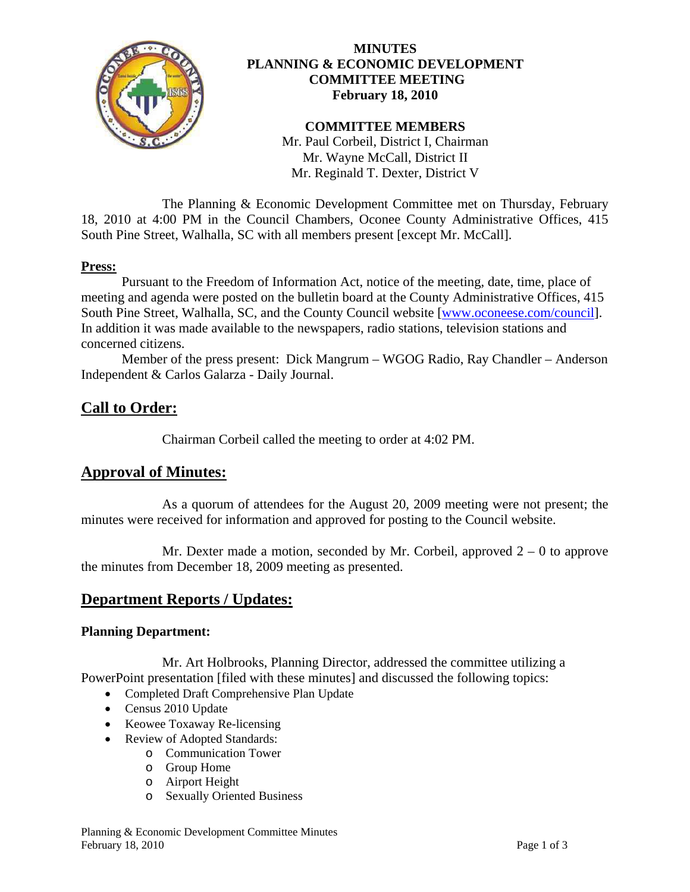

## **MINUTES PLANNING & ECONOMIC DEVELOPMENT COMMITTEE MEETING February 18, 2010**

# **COMMITTEE MEMBERS**

Mr. Paul Corbeil, District I, Chairman Mr. Wayne McCall, District II Mr. Reginald T. Dexter, District V

 The Planning & Economic Development Committee met on Thursday, February 18, 2010 at 4:00 PM in the Council Chambers, Oconee County Administrative Offices, 415 South Pine Street, Walhalla, SC with all members present [except Mr. McCall].

#### **Press:**

 Pursuant to the Freedom of Information Act, notice of the meeting, date, time, place of meeting and agenda were posted on the bulletin board at the County Administrative Offices, 415 South Pine Street, Walhalla, SC, and the County Council website [\[www.oconeese.com/council\]](http://www.oconeese.com/council). In addition it was made available to the newspapers, radio stations, television stations and concerned citizens.

Member of the press present: Dick Mangrum – WGOG Radio, Ray Chandler – Anderson Independent & Carlos Galarza - Daily Journal.

# **Call to Order:**

Chairman Corbeil called the meeting to order at 4:02 PM.

# **Approval of Minutes:**

 As a quorum of attendees for the August 20, 2009 meeting were not present; the minutes were received for information and approved for posting to the Council website.

Mr. Dexter made a motion, seconded by Mr. Corbeil, approved  $2 - 0$  to approve the minutes from December 18, 2009 meeting as presented.

# **Department Reports / Updates:**

#### **Planning Department:**

 Mr. Art Holbrooks, Planning Director, addressed the committee utilizing a PowerPoint presentation [filed with these minutes] and discussed the following topics:

- Completed Draft Comprehensive Plan Update
- Census 2010 Update
- Keowee Toxaway Re-licensing
- Review of Adopted Standards:
	- o Communication Tower
	- o Group Home
	- o Airport Height
	- o Sexually Oriented Business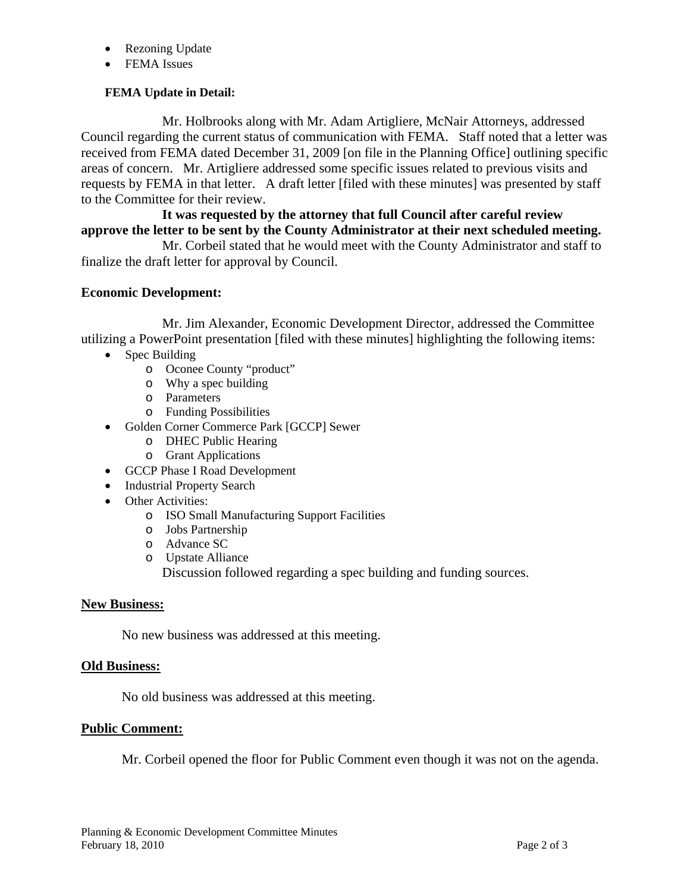- Rezoning Update
- FEMA Issues

### **FEMA Update in Detail:**

Mr. Holbrooks along with Mr. Adam Artigliere, McNair Attorneys, addressed Council regarding the current status of communication with FEMA. Staff noted that a letter was received from FEMA dated December 31, 2009 [on file in the Planning Office] outlining specific areas of concern. Mr. Artigliere addressed some specific issues related to previous visits and requests by FEMA in that letter. A draft letter [filed with these minutes] was presented by staff to the Committee for their review.

### **It was requested by the attorney that full Council after careful review approve the letter to be sent by the County Administrator at their next scheduled meeting.**

Mr. Corbeil stated that he would meet with the County Administrator and staff to finalize the draft letter for approval by Council.

### **Economic Development:**

 Mr. Jim Alexander, Economic Development Director, addressed the Committee utilizing a PowerPoint presentation [filed with these minutes] highlighting the following items:

- Spec Building
	- o Oconee County "product"
	- o Why a spec building
	- o Parameters
	- o Funding Possibilities
- Golden Corner Commerce Park [GCCP] Sewer
	- o DHEC Public Hearing
	- o Grant Applications
- GCCP Phase I Road Development
- Industrial Property Search
- Other Activities:
	- o ISO Small Manufacturing Support Facilities
	- o Jobs Partnership
	- o Advance SC
	- o Upstate Alliance Discussion followed regarding a spec building and funding sources.

#### **New Business:**

No new business was addressed at this meeting.

#### **Old Business:**

No old business was addressed at this meeting.

### **Public Comment:**

Mr. Corbeil opened the floor for Public Comment even though it was not on the agenda.